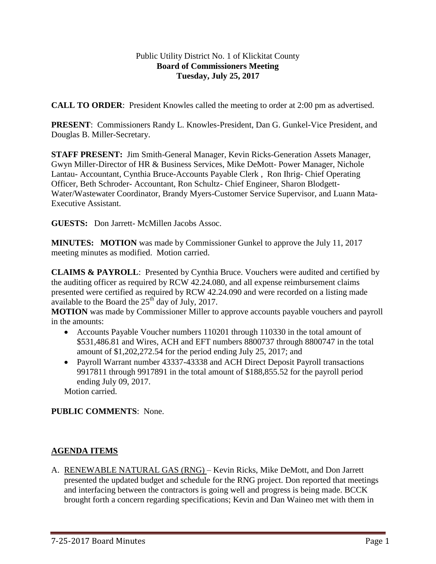## Public Utility District No. 1 of Klickitat County **Board of Commissioners Meeting Tuesday, July 25, 2017**

**CALL TO ORDER**: President Knowles called the meeting to order at 2:00 pm as advertised.

**PRESENT**: Commissioners Randy L. Knowles-President, Dan G. Gunkel-Vice President, and Douglas B. Miller-Secretary.

**STAFF PRESENT:** Jim Smith-General Manager, Kevin Ricks-Generation Assets Manager, Gwyn Miller-Director of HR & Business Services, Mike DeMott- Power Manager, Nichole Lantau- Accountant, Cynthia Bruce-Accounts Payable Clerk , Ron Ihrig- Chief Operating Officer, Beth Schroder- Accountant, Ron Schultz- Chief Engineer, Sharon Blodgett-Water/Wastewater Coordinator, Brandy Myers-Customer Service Supervisor, and Luann Mata-Executive Assistant.

**GUESTS:** Don Jarrett- McMillen Jacobs Assoc.

**MINUTES: MOTION** was made by Commissioner Gunkel to approve the July 11, 2017 meeting minutes as modified. Motion carried.

**CLAIMS & PAYROLL**: Presented by Cynthia Bruce. Vouchers were audited and certified by the auditing officer as required by RCW 42.24.080, and all expense reimbursement claims presented were certified as required by RCW 42.24.090 and were recorded on a listing made available to the Board the  $25<sup>th</sup>$  day of July, 2017.

**MOTION** was made by Commissioner Miller to approve accounts payable vouchers and payroll in the amounts:

- Accounts Payable Voucher numbers 110201 through 110330 in the total amount of \$531,486.81 and Wires, ACH and EFT numbers 8800737 through 8800747 in the total amount of \$1,202,272.54 for the period ending July 25, 2017; and
- Payroll Warrant number 43337-43338 and ACH Direct Deposit Payroll transactions 9917811 through 9917891 in the total amount of \$188,855.52 for the payroll period ending July 09, 2017.

Motion carried.

## **PUBLIC COMMENTS**: None.

## **AGENDA ITEMS**

A. RENEWABLE NATURAL GAS (RNG) – Kevin Ricks, Mike DeMott, and Don Jarrett presented the updated budget and schedule for the RNG project. Don reported that meetings and interfacing between the contractors is going well and progress is being made. BCCK brought forth a concern regarding specifications; Kevin and Dan Waineo met with them in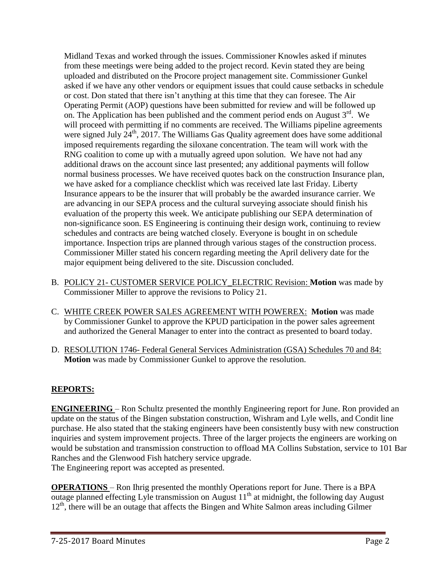Midland Texas and worked through the issues. Commissioner Knowles asked if minutes from these meetings were being added to the project record. Kevin stated they are being uploaded and distributed on the Procore project management site. Commissioner Gunkel asked if we have any other vendors or equipment issues that could cause setbacks in schedule or cost. Don stated that there isn't anything at this time that they can foresee. The Air Operating Permit (AOP) questions have been submitted for review and will be followed up on. The Application has been published and the comment period ends on August  $3<sup>rd</sup>$ . We will proceed with permitting if no comments are received. The Williams pipeline agreements were signed July  $24<sup>th</sup>$ , 2017. The Williams Gas Quality agreement does have some additional imposed requirements regarding the siloxane concentration. The team will work with the RNG coalition to come up with a mutually agreed upon solution. We have not had any additional draws on the account since last presented; any additional payments will follow normal business processes. We have received quotes back on the construction Insurance plan, we have asked for a compliance checklist which was received late last Friday. Liberty Insurance appears to be the insurer that will probably be the awarded insurance carrier. We are advancing in our SEPA process and the cultural surveying associate should finish his evaluation of the property this week. We anticipate publishing our SEPA determination of non-significance soon. ES Engineering is continuing their design work, continuing to review schedules and contracts are being watched closely. Everyone is bought in on schedule importance. Inspection trips are planned through various stages of the construction process. Commissioner Miller stated his concern regarding meeting the April delivery date for the major equipment being delivered to the site. Discussion concluded.

- B. POLICY 21- CUSTOMER SERVICE POLICY\_ELECTRIC Revision: **Motion** was made by Commissioner Miller to approve the revisions to Policy 21.
- C. WHITE CREEK POWER SALES AGREEMENT WITH POWEREX: **Motion** was made by Commissioner Gunkel to approve the KPUD participation in the power sales agreement and authorized the General Manager to enter into the contract as presented to board today.
- D. RESOLUTION 1746- Federal General Services Administration (GSA) Schedules 70 and 84: **Motion** was made by Commissioner Gunkel to approve the resolution.

## **REPORTS:**

**ENGINEERING** – Ron Schultz presented the monthly Engineering report for June. Ron provided an update on the status of the Bingen substation construction, Wishram and Lyle wells, and Condit line purchase. He also stated that the staking engineers have been consistently busy with new construction inquiries and system improvement projects. Three of the larger projects the engineers are working on would be substation and transmission construction to offload MA Collins Substation, service to 101 Bar Ranches and the Glenwood Fish hatchery service upgrade. The Engineering report was accepted as presented.

**OPERATIONS** – Ron Ihrig presented the monthly Operations report for June. There is a BPA outage planned effecting Lyle transmission on August 11<sup>th</sup> at midnight, the following day August  $12<sup>th</sup>$ , there will be an outage that affects the Bingen and White Salmon areas including Gilmer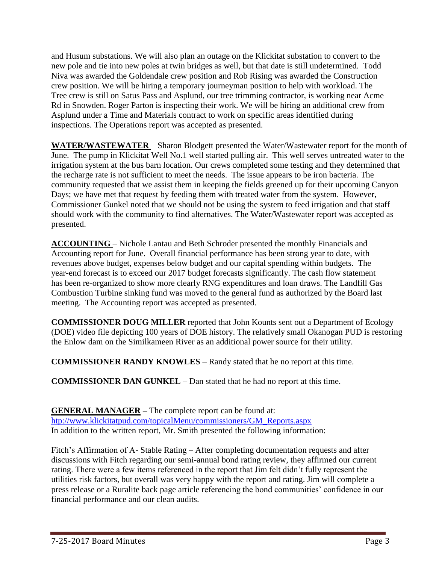and Husum substations. We will also plan an outage on the Klickitat substation to convert to the new pole and tie into new poles at twin bridges as well, but that date is still undetermined. Todd Niva was awarded the Goldendale crew position and Rob Rising was awarded the Construction crew position. We will be hiring a temporary journeyman position to help with workload. The Tree crew is still on Satus Pass and Asplund, our tree trimming contractor, is working near Acme Rd in Snowden. Roger Parton is inspecting their work. We will be hiring an additional crew from Asplund under a Time and Materials contract to work on specific areas identified during inspections. The Operations report was accepted as presented.

**WATER/WASTEWATER** – Sharon Blodgett presented the Water/Wastewater report for the month of June. The pump in Klickitat Well No.1 well started pulling air. This well serves untreated water to the irrigation system at the bus barn location. Our crews completed some testing and they determined that the recharge rate is not sufficient to meet the needs. The issue appears to be iron bacteria. The community requested that we assist them in keeping the fields greened up for their upcoming Canyon Days; we have met that request by feeding them with treated water from the system. However, Commissioner Gunkel noted that we should not be using the system to feed irrigation and that staff should work with the community to find alternatives. The Water/Wastewater report was accepted as presented.

**ACCOUNTING** – Nichole Lantau and Beth Schroder presented the monthly Financials and Accounting report for June. Overall financial performance has been strong year to date, with revenues above budget, expenses below budget and our capital spending within budgets. The year-end forecast is to exceed our 2017 budget forecasts significantly. The cash flow statement has been re-organized to show more clearly RNG expenditures and loan draws. The Landfill Gas Combustion Turbine sinking fund was moved to the general fund as authorized by the Board last meeting. The Accounting report was accepted as presented.

**COMMISSIONER DOUG MILLER** reported that John Kounts sent out a Department of Ecology (DOE) video file depicting 100 years of DOE history. The relatively small Okanogan PUD is restoring the Enlow dam on the Similkameen River as an additional power source for their utility.

**COMMISSIONER RANDY KNOWLES** – Randy stated that he no report at this time.

**COMMISSIONER DAN GUNKEL** – Dan stated that he had no report at this time.

**GENERAL MANAGER –** The complete report can be found at: [htp://www.klickitatpud.com/topicalMenu/commissioners/GM\\_Reports.aspx](http://www.klickitatpud.com/topicalMenu/commissioners/GM_Reports.aspx) In addition to the written report, Mr. Smith presented the following information:

Fitch's Affirmation of A- Stable Rating – After completing documentation requests and after discussions with Fitch regarding our semi-annual bond rating review, they affirmed our current rating. There were a few items referenced in the report that Jim felt didn't fully represent the utilities risk factors, but overall was very happy with the report and rating. Jim will complete a press release or a Ruralite back page article referencing the bond communities' confidence in our financial performance and our clean audits.